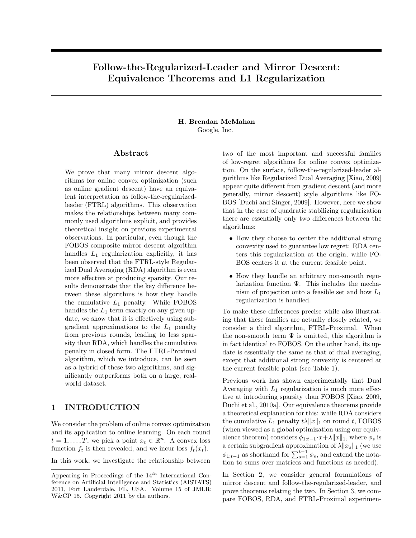# Follow-the-Regularized-Leader and Mirror Descent: Equivalence Theorems and L1 Regularization

#### H. Brendan McMahan Google, Inc.

#### Abstract

We prove that many mirror descent algorithms for online convex optimization (such as online gradient descent) have an equivalent interpretation as follow-the-regularizedleader (FTRL) algorithms. This observation makes the relationships between many commonly used algorithms explicit, and provides theoretical insight on previous experimental observations. In particular, even though the FOBOS composite mirror descent algorithm handles  $L_1$  regularization explicitly, it has been observed that the FTRL-style Regularized Dual Averaging (RDA) algorithm is even more effective at producing sparsity. Our results demonstrate that the key difference between these algorithms is how they handle the cumulative  $L_1$  penalty. While FOBOS handles the  $L_1$  term exactly on any given update, we show that it is effectively using subgradient approximations to the  $L_1$  penalty from previous rounds, leading to less sparsity than RDA, which handles the cumulative penalty in closed form. The FTRL-Proximal algorithm, which we introduce, can be seen as a hybrid of these two algorithms, and significantly outperforms both on a large, realworld dataset.

## 1 INTRODUCTION

We consider the problem of online convex optimization and its application to online learning. On each round  $t = 1, \ldots, T$ , we pick a point  $x_t \in \mathbb{R}^n$ . A convex loss function  $f_t$  is then revealed, and we incur loss  $f_t(x_t)$ .

In this work, we investigate the relationship between

two of the most important and successful families of low-regret algorithms for online convex optimization. On the surface, follow-the-regularized-leader algorithms like Regularized Dual Averaging [Xiao, 2009] appear quite different from gradient descent (and more generally, mirror descent) style algorithms like FO-BOS [Duchi and Singer, 2009]. However, here we show that in the case of quadratic stabilizing regularization there are essentially only two differences between the algorithms:

- How they choose to center the additional strong convexity used to guarantee low regret: RDA centers this regularization at the origin, while FO-BOS centers it at the current feasible point.
- How they handle an arbitrary non-smooth regularization function Ψ. This includes the mechanism of projection onto a feasible set and how  $L_1$ regularization is handled.

To make these differences precise while also illustrating that these families are actually closely related, we consider a third algorithm, FTRL-Proximal. When the non-smooth term  $\Psi$  is omitted, this algorithm is in fact identical to FOBOS. On the other hand, its update is essentially the same as that of dual averaging, except that additional strong convexity is centered at the current feasible point (see Table 1).

Previous work has shown experimentally that Dual Averaging with  $L_1$  regularization is much more effective at introducing sparsity than FOBOS [Xiao, 2009, Duchi et al., 2010a]. Our equivalence theorems provide a theoretical explanation for this: while RDA considers the cumulative  $L_1$  penalty  $t\lambda \|x\|_1$  on round t, FOBOS (when viewed as a global optimization using our equivalence theorem) considers  $\phi_{1:t-1}\cdot x+\lambda||x||_1$ , where  $\phi_s$  is a certain subgradient approximation of  $\lambda ||x_s||_1$  (we use  $\phi_{1:t-1}$  as shorthand for  $\sum_{s=1}^{t-1} \phi_s$ , and extend the notation to sums over matrices and functions as needed).

In Section 2, we consider general formulations of mirror descent and follow-the-regularized-leader, and prove theorems relating the two. In Section 3, we compare FOBOS, RDA, and FTRL-Proximal experimen-

Appearing in Proceedings of the  $14^{th}$  International Conference on Artificial Intelligence and Statistics (AISTATS) 2011, Fort Lauderdale, FL, USA. Volume 15 of JMLR: W&CP 15. Copyright 2011 by the authors.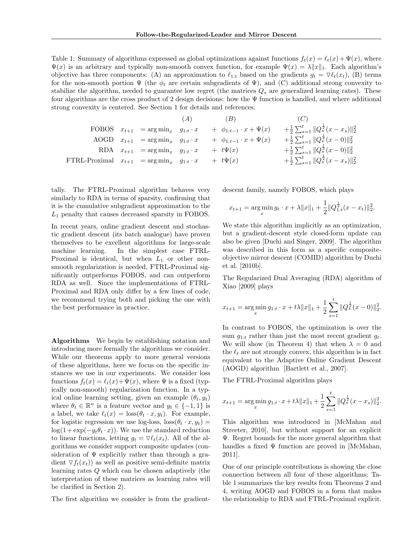Table 1: Summary of algorithms expressed as global optimizations against functions  $f_t(x) = \ell_t(x) + \Psi(x)$ , where  $\Psi(x)$  is an arbitrary and typically non-smooth convex function, for example  $\Psi(x) = \lambda ||x||_1$ . Each algorithm's objective has three components: (A) an approximation to  $\ell_{1:t}$  based on the gradients  $g_t = \nabla \ell_t(x_t)$ , (B) terms for the non-smooth portion  $\Psi$  (the  $\phi_t$  are certain subgradients of  $\Psi$ ), and (C) additional strong convexity to stabilize the algorithm, needed to guarantee low regret (the matrices  $Q_s$  are generalized learning rates). These four algorithms are the cross product of 2 design decisions: how the  $\Psi$  function is handled, and where additional strong convexity is centered. See Section 1 for details and references.

|                                                         |                                                   | (A) | (B)                                | (C)                                                              |
|---------------------------------------------------------|---------------------------------------------------|-----|------------------------------------|------------------------------------------------------------------|
|                                                         | FOBOS $x_{t+1}$ = $\arg \min_x g_{1:t} \cdot x$   |     | $+ \phi_{1:t-1} \cdot x + \Psi(x)$ | $+\frac{1}{2}\sum_{s=1}^t \ Q_s^{\frac{1}{2}}(x-x_s)\ _2^2$      |
|                                                         | AOGD $x_{t+1}$ = $\arg\min_{x}$ $g_{1:t} \cdot x$ |     | $+ \phi_{1:t-1} \cdot x + \Psi(x)$ | $+\frac{1}{2}\sum_{s=1}^{t}  Q_{s}^{\frac{1}{2}}(x-0)  _{2}^{2}$ |
|                                                         | RDA $x_{t+1}$ = $\arg\min_{x} g_{1:t} \cdot x$    |     | $+ t\Psi(x)$                       | $+\frac{1}{2}\sum_{s=1}^t \ Q_s^{\frac{1}{2}}(x-0)\ _2^2$        |
| FTRL-Proximal $x_{t+1}$ = $\arg \min_x g_{1:t} \cdot x$ |                                                   |     | $+ t\Psi(x)$                       | $+\frac{1}{2}\sum_{s=1}^t \ Q_s^{\frac{1}{2}}(x-x_s)\ _2^2$      |

tally. The FTRL-Proximal algorithm behaves very similarly to RDA in terms of sparsity, confirming that it is the cumulative subgradient approximation to the  $L_1$  penalty that causes decreased sparsity in FOBOS.

In recent years, online gradient descent and stochastic gradient descent (its batch analogue) have proven themselves to be excellent algorithms for large-scale machine learning. In the simplest case FTRL-Proximal is identical, but when  $L_1$  or other nonsmooth regularization is needed, FTRL-Proximal significantly outperforms FOBOS, and can outperform RDA as well. Since the implementations of FTRL-Proximal and RDA only differ by a few lines of code, we recommend trying both and picking the one with the best performance in practice.

Algorithms We begin by establishing notation and introducing more formally the algorithms we consider. While our theorems apply to more general versions of these algorithms, here we focus on the specific instances we use in our experiments. We consider loss functions  $f_t(x) = \ell_t(x)+\Psi(x)$ , where  $\Psi$  is a fixed (typically non-smooth) regularization function. In a typical online learning setting, given an example  $(\theta_t, y_t)$ where  $\theta_t \in \mathbb{R}^n$  is a feature vector and  $y_t \in \{-1, 1\}$  is a label, we take  $\ell_t(x) = \text{loss}(\theta_t \cdot x, y_t)$ . For example, for logistic regression we use log-loss,  $\log(\theta_t \cdot x, y_t) =$  $\log(1 + \exp(-y_t \theta_t \cdot x))$ . We use the standard reduction to linear functions, letting  $q_t = \nabla \ell_t(x_t)$ . All of the algorithms we consider support composite updates (consideration of  $\Psi$  explicitly rather than through a gradient  $\nabla f_t(x_t)$  as well as positive semi-definite matrix learning rates Q which can be chosen adaptively (the interpretation of these matrices as learning rates will be clarified in Section 2).

The first algorithm we consider is from the gradient-

descent family, namely FOBOS, which plays

$$
x_{t+1} = \arg\min_{x} g_t \cdot x + \lambda ||x||_1 + \frac{1}{2} ||Q_{1:t}^{\frac{1}{2}}(x - x_t)||_2^2.
$$

We state this algorithm implicitly as an optimization, but a gradient-descent style closed-form update can also be given [Duchi and Singer, 2009]. The algorithm was described in this form as a specific compositeobjective mirror descent (COMID) algorithm by Duchi et al. [2010b].

The Regularized Dual Averaging (RDA) algorithm of Xiao [2009] plays

$$
x_{t+1} = \arg\min_{x} g_{1:t} \cdot x + t\lambda ||x||_1 + \frac{1}{2} \sum_{s=1}^{t} ||Q_s^{\frac{1}{2}}(x-0)||_2^2.
$$

In contrast to FOBOS, the optimization is over the sum  $g_{1:t}$  rather than just the most recent gradient  $g_t$ . We will show (in Theorem 4) that when  $\lambda = 0$  and the  $\ell_t$  are not strongly convex, this algorithm is in fact equivalent to the Adaptive Online Gradient Descent (AOGD) algorithm [Bartlett et al., 2007].

The FTRL-Proximal algorithm plays

$$
x_{t+1} = \arg\min_{x} g_{1:t} \cdot x + t\lambda \|x\|_1 + \frac{1}{2} \sum_{s=1}^t \|Q_s^{\frac{1}{2}}(x - x_s)\|_2^2.
$$

This algorithm was introduced in [McMahan and Streeter, 2010], but without support for an explicit Ψ. Regret bounds for the more general algorithm that handles a fixed  $\Psi$  function are proved in [McMahan, 2011].

One of our principle contributions is showing the close connection between all four of these algorithms; Table 1 summarizes the key results from Theorems 2 and 4, writing AOGD and FOBOS in a form that makes the relationship to RDA and FTRL-Proximal explicit.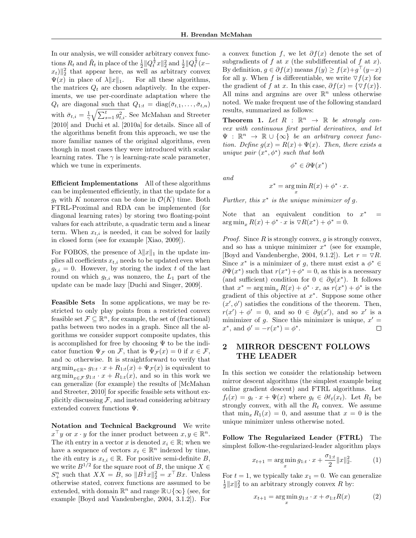In our analysis, we will consider arbitrary convex functions  $R_t$  and  $\tilde{R}_t$  in place of the  $\frac{1}{2} ||Q_t^{\frac{1}{2}}x||_2^2$  and  $\frac{1}{2} ||Q_t^{\frac{1}{2}}(x-\$  $||x_t||_2^2$  that appear here, as well as arbitrary convex  $\Psi(x)$  in place of  $\lambda ||x||_1$ . For all these algorithms, the matrices  $Q_t$  are chosen adaptively. In the experiments, we use per-coordinate adaptation where the  $Q_t$  are diagonal such that  $Q_{1:t} = \text{diag}(\bar{\sigma}_{t,1}, \ldots, \bar{\sigma}_{t,n})$ with  $\bar{\sigma}_{t,i} = \frac{1}{\gamma} \sqrt{\sum_{s=1}^{t} g_{t,i}^2}$ . See McMahan and Streeter [2010] and Duchi et al. [2010a] for details. Since all of the algorithms benefit from this approach, we use the more familiar names of the original algorithms, even though in most cases they were introduced with scalar learning rates. The  $\gamma$  is learning-rate scale parameter, which we tune in experiments.

Efficient Implementations All of these algorithms can be implemented efficiently, in that the update for a  $g_t$  with K nonzeros can be done in  $\mathcal{O}(K)$  time. Both FTRL-Proximal and RDA can be implemented (for diagonal learning rates) by storing two floating-point values for each attribute, a quadratic term and a linear term. When  $x_{t,i}$  is needed, it can be solved for lazily in closed form (see for example [Xiao, 2009]).

For FOBOS, the presence of  $\lambda ||x||_1$  in the update implies all coefficients  $x_{t,i}$  needs to be updated even when  $g_{t,i} = 0$ . However, by storing the index t of the last round on which  $g_{t,i}$  was nonzero, the  $L_1$  part of the update can be made lazy [Duchi and Singer, 2009].

Feasible Sets In some applications, we may be restricted to only play points from a restricted convex feasible set  $\mathcal{F} \subseteq \mathbb{R}^n$ , for example, the set of (fractional) paths between two nodes in a graph. Since all the algorithms we consider support composite updates, this is accomplished for free by choosing  $\Psi$  to be the indicator function  $\Psi_{\mathcal{F}}$  on  $\mathcal{F}$ , that is  $\Psi_{\mathcal{F}}(x) = 0$  if  $x \in \mathcal{F}$ , and  $\infty$  otherwise. It is straightforward to verify that  $\arg \min_{x \in \mathbb{R}^n} g_{1:t} \cdot x + R_{1:t}(x) + \Psi_{\mathcal{F}}(x)$  is equivalent to  $\arg \min_{x \in \mathcal{F}} g_{1:t} \cdot x + R_{1:t}(x)$ , and so in this work we can generalize (for example) the results of [McMahan and Streeter, 2010] for specific feasible sets without explicitly discussing  $F$ , and instead considering arbitrary extended convex functions Ψ.

Notation and Technical Background We write  $x^{\top}y$  or  $x \cdot y$  for the inner product between  $x, y \in \mathbb{R}^n$ . The *i*th entry in a vector x is denoted  $x_i \in \mathbb{R}$ ; when we have a sequence of vectors  $x_t \in \mathbb{R}^n$  indexed by time, the *i*th entry is  $x_{t,i} \in \mathbb{R}$ . For positive semi-definite B, we write  $B^{1/2}$  for the square root of B, the unique  $X \in$  $S_{+}^{n}$  such that  $XX = B$ , so  $||B^{\frac{1}{2}}x||_2^2 = x^{\top}Bx$ . Unless otherwise stated, convex functions are assumed to be extended, with domain  $\mathbb{R}^n$  and range  $\mathbb{R} \cup \{\infty\}$  (see, for example [Boyd and Vandenberghe, 2004, 3.1.2]). For

a convex function f, we let  $\partial f(x)$  denote the set of subgradients of  $f$  at  $x$  (the subdifferential of  $f$  at  $x$ ). By definition,  $g \in \partial f(x)$  means  $f(y) \ge f(x)+g^{\top}(y-x)$ for all y. When f is differentiable, we write  $\nabla f(x)$  for the gradient of f at x. In this case,  $\partial f(x) = \{\nabla f(x)\}.$ All mins and argmins are over  $\mathbb{R}^n$  unless otherwise noted. We make frequent use of the following standard results, summarized as follows:

**Theorem 1.** Let  $R : \mathbb{R}^n \to \mathbb{R}$  be strongly convex with continuous first partial derivatives, and let  $\Psi : \mathbb{R}^n \to \mathbb{R} \cup {\infty}$  be an arbitrary convex function. Define  $g(x) = R(x) + \Psi(x)$ . Then, there exists a unique pair  $(x^*, \phi^*)$  such that both

and

$$
f_{\rm{max}}
$$

 $\phi^* \in \partial \Psi(x^*)$ 

$$
x^* = \argmin_x R(x) + \phi^* \cdot x.
$$

Further, this  $x^*$  is the unique minimizer of  $g$ .

Note that an equivalent condition to  $x^*$ <sup>∗</sup> =  $\arg \min_{x} R(x) + \phi^* \cdot x \text{ is } \nabla R(x^*) + \phi^* = 0.$ 

*Proof.* Since  $R$  is strongly convex,  $q$  is strongly convex, and so has a unique minimizer  $x^*$  (see for example, [Boyd and Vandenberghe, 2004, 9.1.2]). Let  $r = \nabla R$ . Since  $x^*$  is a minimizer of g, there must exist a  $\phi^* \in$  $\partial \Psi(x^*)$  such that  $r(x^*) + \phi^* = 0$ , as this is a necessary (and sufficient) condition for  $0 \in \partial g(x^*)$ . It follows that  $x^* = \arg \min_x R(x) + \phi^* \cdot x$ , as  $r(x^*) + \phi^*$  is the gradient of this objective at  $x^*$ . Suppose some other  $(x', \phi')$  satisfies the conditions of the theorem. Then,  $r(x') + \phi' = 0$ , and so  $0 \in \partial g(x')$ , and so x' is a minimizer of g. Since this minimizer is unique,  $x' =$  $x^*$ , and  $\phi' = -r(x^*) = \phi^*$ .  $\Box$ 

### 2 MIRROR DESCENT FOLLOWS THE LEADER

In this section we consider the relationship between mirror descent algorithms (the simplest example being online gradient descent) and FTRL algorithms. Let  $f_t(x) = g_t \cdot x + \Psi(x)$  where  $g_t \in \partial \ell_t(x_t)$ . Let  $R_1$  be strongly convex, with all the  $R_t$  convex. We assume that  $\min_x R_1(x) = 0$ , and assume that  $x = 0$  is the unique minimizer unless otherwise noted.

Follow The Regularized Leader (FTRL) The simplest follow-the-regularized-leader algorithm plays

$$
x_{t+1} = \underset{x}{\arg\min} \, g_{1:t} \cdot x + \frac{\sigma_{1:t}}{2} \|x\|_2^2. \tag{1}
$$

For  $t = 1$ , we typically take  $x_1 = 0$ . We can generalize  $\frac{1}{2}||x||_2^2$  to an arbitrary strongly convex R by:

$$
x_{t+1} = \arg\min_{x} g_{1:t} \cdot x + \sigma_{1:t} R(x) \tag{2}
$$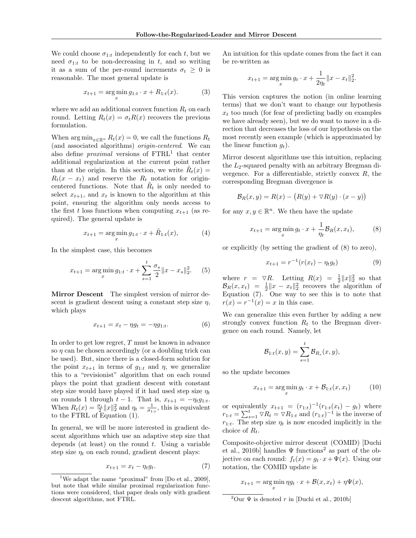We could choose  $\sigma_{1:t}$  independently for each t, but we need  $\sigma_{1:t}$  to be non-decreasing in t, and so writing it as a sum of the per-round increments  $\sigma_t \geq 0$  is reasonable. The most general update is

$$
x_{t+1} = \arg\min_{x} g_{1:t} \cdot x + R_{1:t}(x). \tag{3}
$$

where we add an additional convex function  $R_t$  on each round. Letting  $R_t(x) = \sigma_t R(x)$  recovers the previous formulation.

When  $\arg \min_{x \in \mathbb{R}^n} R_t(x) = 0$ , we call the functions  $R_t$ (and associated algorithms) origin-centered. We can also define *proximal* versions of  $\text{FTRL}^1$  that center additional regularization at the current point rather than at the origin. In this section, we write  $\tilde{R}_t(x) =$  $R_t(x - x_t)$  and reserve the  $R_t$  notation for origincentered functions. Note that  $\tilde{R}_t$  is only needed to select  $x_{t+1}$ , and  $x_t$  is known to the algorithm at this point, ensuring the algorithm only needs access to the first t loss functions when computing  $x_{t+1}$  (as required). The general update is

$$
x_{t+1} = \arg\min_{x} g_{1:t} \cdot x + \tilde{R}_{1:t}(x), \tag{4}
$$

In the simplest case, this becomes

$$
x_{t+1} = \arg\min_{x} g_{1:t} \cdot x + \sum_{s=1}^{t} \frac{\sigma_s}{2} ||x - x_s||_2^2.
$$
 (5)

Mirror Descent The simplest version of mirror descent is gradient descent using a constant step size  $\eta$ , which plays

$$
x_{t+1} = x_t - \eta g_t = -\eta g_{1:t}.
$$
 (6)

In order to get low regret, T must be known in advance so  $\eta$  can be chosen accordingly (or a doubling trick can be used). But, since there is a closed-form solution for the point  $x_{t+1}$  in terms of  $q_{1:t}$  and  $\eta$ , we generalize this to a "revisionist" algorithm that on each round plays the point that gradient descent with constant step size would have played if it had used step size  $\eta_t$ on rounds 1 through  $t - 1$ . That is,  $x_{t+1} = -\eta_t g_{1:t}$ . When  $R_t(x) = \frac{\sigma_t}{2} ||x||_2^2$  and  $\eta_t = \frac{1}{\sigma_{1:t}}$ , this is equivalent to the FTRL of Equation (1).

In general, we will be more interested in gradient descent algorithms which use an adaptive step size that depends (at least) on the round  $t$ . Using a variable step size  $\eta_t$  on each round, gradient descent plays:

$$
x_{t+1} = x_t - \eta_t g_t. \tag{7}
$$

An intuition for this update comes from the fact it can be re-written as

$$
x_{t+1} = \arg\min_{x} g_t \cdot x + \frac{1}{2\eta_t} \|x - x_t\|_2^2.
$$

This version captures the notion (in online learning terms) that we don't want to change our hypothesis  $x_t$  too much (for fear of predicting badly on examples we have already seen), but we do want to move in a direction that decreases the loss of our hypothesis on the most recently seen example (which is approximated by the linear function  $q_t$ ).

Mirror descent algorithms use this intuition, replacing the  $L_2$ -squared penalty with an arbitrary Bregman divergence. For a differentiable, strictly convex  $R$ , the corresponding Bregman divergence is

$$
\mathcal{B}_R(x, y) = R(x) - (R(y) + \nabla R(y) \cdot (x - y))
$$

for any  $x, y \in \mathbb{R}^n$ . We then have the update

$$
x_{t+1} = \arg\min_{x} g_t \cdot x + \frac{1}{\eta_t} \mathcal{B}_R(x, x_t), \tag{8}
$$

or explicitly (by setting the gradient of (8) to zero),

$$
x_{t+1} = r^{-1}(r(x_t) - \eta_t g_t)
$$
\n(9)

where  $r = \nabla R$ . Letting  $R(x) = \frac{1}{2} ||x||_2^2$  so that  $\mathcal{B}_R(x, x_t) = \frac{1}{2} \|x - x_t\|_2^2$  recovers the algorithm of Equation (7). One way to see this is to note that  $r(x) = r^{-1}(x) = x$  in this case.

We can generalize this even further by adding a new strongly convex function  $R_t$  to the Bregman divergence on each round. Namely, let

$$
\mathcal{B}_{1:t}(x,y) = \sum_{s=1}^{t} \mathcal{B}_{R_s}(x,y),
$$

so the update becomes

$$
x_{t+1} = \arg\min_{x} g_t \cdot x + \mathcal{B}_{1:t}(x, x_t) \tag{10}
$$

or equivalently  $x_{t+1} = (r_{1:t})^{-1}(r_{1:t}(x_t) - g_t)$  where  $r_{1:t} = \sum_{s=1}^{t} \nabla R_t = \nabla R_{1:t}$  and  $(r_{1:t})^{-1}$  is the inverse of  $r_{1:t}$ . The step size  $\eta_t$  is now encoded implicitly in the choice of  $R_t$ .

Composite-objective mirror descent (COMID) [Duchi et al., 2010b] handles  $\Psi$  functions<sup>2</sup> as part of the objective on each round:  $f_t(x) = g_t \cdot x + \Psi(x)$ . Using our notation, the COMID update is

$$
x_{t+1} = \arg\min_{x} \eta g_t \cdot x + \mathcal{B}(x, x_t) + \eta \Psi(x),
$$

<sup>2</sup>Our  $\Psi$  is denoted r in [Duchi et al., 2010b]

<sup>&</sup>lt;sup>1</sup>We adapt the name "proximal" from  $[Do et al., 2009]$ , but note that while similar proximal regularization functions were considered, that paper deals only with gradient descent algorithms, not FTRL.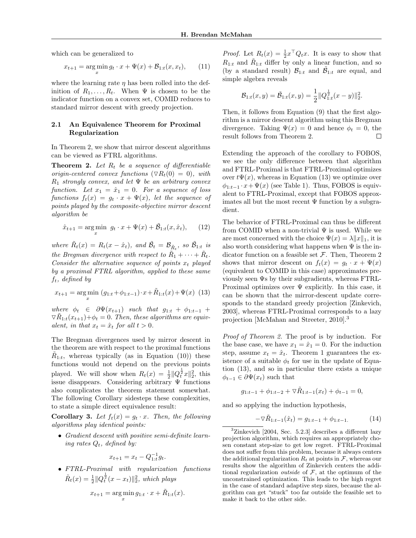which can be generalized to

$$
x_{t+1} = \arg\min_{x} g_t \cdot x + \Psi(x) + \mathcal{B}_{1:t}(x, x_t), \qquad (11)
$$

where the learning rate  $\eta$  has been rolled into the definition of  $R_1, \ldots, R_t$ . When  $\Psi$  is chosen to be the indicator function on a convex set, COMID reduces to standard mirror descent with greedy projection.

#### 2.1 An Equivalence Theorem for Proximal Regularization

In Theorem 2, we show that mirror descent algorithms can be viewed as FTRL algorithms.

**Theorem 2.** Let  $R_t$  be a sequence of differentiable origin-centered convex functions  $(\nabla R_t(0) = 0)$ , with  $R_1$  strongly convex, and let  $\Psi$  be an arbitrary convex function. Let  $x_1 = \hat{x}_1 = 0$ . For a sequence of loss functions  $f_t(x) = g_t \cdot x + \Psi(x)$ , let the sequence of points played by the composite-objective mirror descent algorithm be

$$
\hat{x}_{t+1} = \arg\min_{x} \ g_t \cdot x + \Psi(x) + \tilde{\mathcal{B}}_{1:t}(x, \hat{x}_t), \qquad (12)
$$

where  $\tilde{R}_t(x) = R_t(x - \hat{x}_t)$ , and  $\tilde{B}_t = \mathcal{B}_{\tilde{R}_t}$ , so  $\tilde{\mathcal{B}}_{1:t}$  is the Bregman divergence with respect to  $\tilde{R}_1 + \cdots + \tilde{R}_t$ . Consider the alternative sequence of points  $x_t$  played by a proximal FTRL algorithm, applied to these same  $f_t$ , defined by

$$
x_{t+1} = \underset{x}{\arg\min} \ (g_{1:t} + \phi_{1:t-1}) \cdot x + \tilde{R}_{1:t}(x) + \Psi(x) \tag{13}
$$

where  $\phi_t \in \partial \Psi(x_{t+1})$  such that  $g_{1:t} + \phi_{1:t-1}$  +  $\nabla \tilde{R}_{1:t}(x_{t+1}) + \phi_t = 0$ . Then, these algorithms are equivalent, in that  $x_t = \hat{x}_t$  for all  $t > 0$ .

The Bregman divergences used by mirror descent in the theorem are with respect to the proximal functions  $\tilde{R}_{1:t}$ , whereas typically (as in Equation (10)) these functions would not depend on the previous points played. We will show when  $R_t(x) = \frac{1}{2} ||Q_t^{\frac{1}{2}}x||_2^2$ , this issue disappears. Considering arbitrary  $\Psi$  functions also complicates the theorem statement somewhat. The following Corollary sidesteps these complexities, to state a simple direct equivalence result:

**Corollary 3.** Let  $f_t(x) = g_t \cdot x$ . Then, the following algorithms play identical points:

• Gradient descent with positive semi-definite learning rates  $Q_t$ , defined by:

$$
x_{t+1} = x_t - Q_{1:t}^{-1} g_t.
$$

• FTRL-Proximal with regularization functions  $\tilde{R}_t(x) = \frac{1}{2} ||Q_t^{\frac{1}{2}}(x - x_t)||_2^2$ , which plays

$$
x_{t+1} = \arg\min_{x} g_{1:t} \cdot x + \tilde{R}_{1:t}(x).
$$

*Proof.* Let  $R_t(x) = \frac{1}{2}x^\top Q_t x$ . It is easy to show that  $R_{1:t}$  and  $\tilde{R}_{1:t}$  differ by only a linear function, and so (by a standard result)  $\mathcal{B}_{1:t}$  and  $\tilde{\mathcal{B}}_{1:t}$  are equal, and simple algebra reveals

$$
\mathcal{B}_{1:t}(x,y) = \tilde{\mathcal{B}}_{1:t}(x,y) = \frac{1}{2} ||Q_{1:t}^{\frac{1}{2}}(x-y)||_2^2.
$$

Then, it follows from Equation (9) that the first algorithm is a mirror descent algorithm using this Bregman divergence. Taking  $\Psi(x) = 0$  and hence  $\phi_t = 0$ , the result follows from Theorem 2. П

Extending the approach of the corollary to FOBOS, we see the only difference between that algorithm and FTRL-Proximal is that FTRL-Proximal optimizes over  $t\Psi(x)$ , whereas in Equation (13) we optimize over  $\phi_{1:t-1} \cdot x + \Psi(x)$  (see Table 1). Thus, FOBOS is equivalent to FTRL-Proximal, except that FOBOS approximates all but the most recent  $\Psi$  function by a subgradient.

The behavior of FTRL-Proximal can thus be different from COMID when a non-trivial  $\Psi$  is used. While we are most concerned with the choice  $\Psi(x) = \lambda ||x||_1$ , it is also worth considering what happens when  $\Psi$  is the indicator function on a feasible set  $\mathcal F$ . Then, Theorem 2 shows that mirror descent on  $f_t(x) = g_t \cdot x + \Psi(x)$ (equivalent to COMID in this case) approximates previously seen Ψs by their subgradients, whereas FTRL-Proximal optimizes over Ψ explicitly. In this case, it can be shown that the mirror-descent update corresponds to the standard greedy projection [Zinkevich, 2003], whereas FTRL-Proximal corresponds to a lazy projection [McMahan and Streeter, 2010].<sup>3</sup>

Proof of Theorem 2. The proof is by induction. For the base case, we have  $x_1 = \hat{x}_1 = 0$ . For the induction step, assume  $x_t = \hat{x}_t$ . Theorem 1 guarantees the existence of a suitable  $\phi_t$  for use in the update of Equation (13), and so in particular there exists a unique  $\phi_{t-1} \in \partial \Psi(x_t)$  such that

$$
g_{1:t-1} + \phi_{1:t-2} + \nabla \tilde{R}_{1:t-1}(x_t) + \phi_{t-1} = 0,
$$

and so applying the induction hypothesis,

$$
-\nabla \tilde{R}_{1:t-1}(\hat{x}_t) = g_{1:t-1} + \phi_{1:t-1}.
$$
 (14)

 ${}^{3}$ Zinkevich [2004, Sec. 5.2.3] describes a different lazy projection algorithm, which requires an appropriately chosen constant step-size to get low regret. FTRL-Proximal does not suffer from this problem, because it always centers the additional regularization  $R_t$  at points in  $\mathcal F$ , whereas our results show the algorithm of Zinkevich centers the additional regularization *outside* of  $F$ , at the optimum of the unconstrained optimization. This leads to the high regret in the case of standard adaptive step sizes, because the algorithm can get "stuck" too far outside the feasible set to make it back to the other side.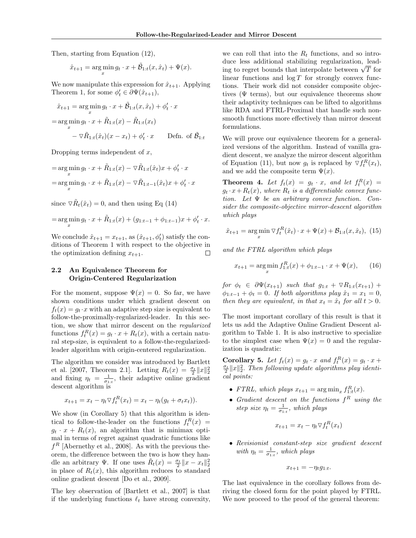Then, starting from Equation (12),

$$
\hat{x}_{t+1} = \arg\min_{x} g_t \cdot x + \tilde{\mathcal{B}}_{1:t}(x, \hat{x}_t) + \Psi(x).
$$

We now manipulate this expression for  $\hat{x}_{t+1}$ . Applying Theorem 1, for some  $\phi'_t \in \partial \Psi(\hat{x}_{t+1}),$ 

$$
\hat{x}_{t+1} = \underset{x}{\arg\min} g_t \cdot x + \tilde{\mathcal{B}}_{1:t}(x, \hat{x}_t) + \phi'_t \cdot x
$$
\n
$$
= \underset{x}{\arg\min} g_t \cdot x + \tilde{R}_{1:t}(x) - \tilde{R}_{1:t}(x_t)
$$
\n
$$
- \nabla \tilde{R}_{1:t}(\hat{x}_t)(x - x_t) + \phi'_t \cdot x
$$
 Defn. of  $\tilde{\mathcal{B}}_{1:t}$ 

Dropping terms independent of  $x$ ,

$$
= \operatorname*{arg\,min}_{x} g_t \cdot x + \tilde{R}_{1:t}(x) - \nabla \tilde{R}_{1:t}(\hat{x}_t)x + \phi'_t \cdot x
$$

$$
= \operatorname*{arg\,min}_{x} g_t \cdot x + \tilde{R}_{1:t}(x) - \nabla \tilde{R}_{1:t-1}(\hat{x}_t)x + \phi'_t \cdot x
$$

since  $\nabla \tilde{R}_t(\hat{x}_t) = 0$ , and then using Eq (14)

$$
= \arg\min_{x} g_t \cdot x + \tilde{R}_{1:t}(x) + (g_{1:t-1} + \phi_{1:t-1})x + \phi'_t \cdot x.
$$

We conclude  $\hat{x}_{t+1} = x_{t+1}$ , as  $(\hat{x}_{t+1}, \phi_t)$  satisfy the conditions of Theorem 1 with respect to the objective in the optimization defining  $x_{t+1}$ .  $\Box$ 

#### 2.2 An Equivalence Theorem for Origin-Centered Regularization

For the moment, suppose  $\Psi(x) = 0$ . So far, we have shown conditions under which gradient descent on  $f_t(x) = g_t \cdot x$  with an adaptive step size is equivalent to follow-the-proximally-regularized-leader. In this section, we show that mirror descent on the regularized functions  $f_t^R(x) = g_t \cdot x + R_t(x)$ , with a certain natural step-size, is equivalent to a follow-the-regularizedleader algorithm with origin-centered regularization.

The algorithm we consider was introduced by Bartlett et al. [2007, Theorem 2.1]. Letting  $R_t(x) = \frac{\sigma_t}{2} ||x||_2^2$ and fixing  $\eta_t = \frac{1}{\sigma_{1:t}}$ , their adaptive online gradient descent algorithm is

$$
x_{t+1} = x_t - \eta_t \nabla f_t^R(x_t) = x_t - \eta_t (g_t + \sigma_t x_t).
$$

We show (in Corollary 5) that this algorithm is identical to follow-the-leader on the functions  $f_t^R(x) =$  $g_t \cdot x + R_t(x)$ , an algorithm that is minimax optimal in terms of regret against quadratic functions like  $f<sup>R</sup>$  [Abernethy et al., 2008]. As with the previous theorem, the difference between the two is how they handle an arbitrary Ψ. If one uses  $\tilde{R}_t(x) = \frac{\sigma_t}{2} ||x - x_t||_2^2$ in place of  $R_t(x)$ , this algorithm reduces to standard online gradient descent [Do et al., 2009].

The key observation of [Bartlett et al., 2007] is that if the underlying functions  $\ell_t$  have strong convexity, we can roll that into the  $R_t$  functions, and so introduce less additional stabilizing regularization, leadque less additional stabilizing regularization, leading to regret bounds that interpolate between  $\sqrt{T}$  for linear functions and  $\log T$  for strongly convex functions. Their work did not consider composite objectives ( $\Psi$  terms), but our equivalence theorems show their adaptivity techniques can be lifted to algorithms like RDA and FTRL-Proximal that handle such nonsmooth functions more effectively than mirror descent formulations.

We will prove our equivalence theorem for a generalized versions of the algorithm. Instead of vanilla gradient descent, we analyze the mirror descent algorithm of Equation (11), but now  $g_t$  is replaced by  $\nabla f_t^R(x_t)$ , and we add the composite term  $\Psi(x)$ .

**Theorem 4.** Let  $f_t(x) = g_t \cdot x$ , and let  $f_t^R(x) =$  $g_t \cdot x + R_t(x)$ , where  $R_t$  is a differentiable convex function. Let  $\Psi$  be an arbitrary convex function. Consider the composite-objective mirror-descent algorithm which plays

$$
\hat{x}_{t+1} = \arg\min_{x} \nabla f_t^R(\hat{x}_t) \cdot x + \Psi(x) + \mathcal{B}_{1:t}(x, \hat{x}_t), \tag{15}
$$

and the FTRL algorithm which plays

$$
x_{t+1} = \arg\min_{x} f_{1:t}^{R}(x) + \phi_{1:t-1} \cdot x + \Psi(x), \qquad (16)
$$

for  $\phi_t \in \partial \Psi(x_{t+1})$  such that  $g_{1:t} + \nabla R_{1:t}(x_{t+1}) +$  $\phi_{1:t-1} + \phi_t = 0$ . If both algorithms play  $\hat{x}_1 = x_1 = 0$ , then they are equivalent, in that  $x_t = \hat{x}_t$  for all  $t > 0$ .

The most important corollary of this result is that it lets us add the Adaptive Online Gradient Descent algorithm to Table 1. It is also instructive to specialize to the simplest case when  $\Psi(x) = 0$  and the regularization is quadratic:

**Corollary 5.** Let  $f_t(x) = g_t \cdot x$  and  $f_t^R(x) = g_t \cdot x +$  $\frac{\sigma_t}{2}||x||_2^2$ . Then following update algorithms play identical points:

- FTRL, which plays  $x_{t+1} = \arg \min_x f_{1:t}^R(x)$ .
- Gradient descent on the functions  $f^R$  using the step size  $\eta_t = \frac{1}{\sigma_{1:t}}$ , which plays

$$
x_{t+1} = x_t - \eta_t \nabla f_t^R(x_t)
$$

• Revisionist constant-step size gradient descent with  $\eta_t = \frac{1}{\sigma_{1:t}},$  which plays

$$
x_{t+1} = -\eta_t g_{1:t}.
$$

The last equivalence in the corollary follows from deriving the closed form for the point played by FTRL. We now proceed to the proof of the general theorem: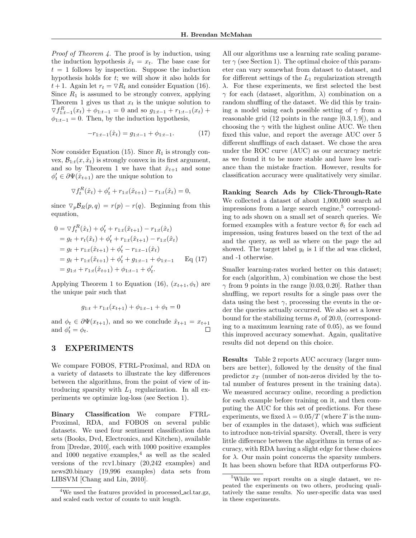Proof of Theorem 4. The proof is by induction, using the induction hypothesis  $\hat{x}_t = x_t$ . The base case for  $t = 1$  follows by inspection. Suppose the induction hypothesis holds for  $t$ ; we will show it also holds for  $t + 1$ . Again let  $r_t = \nabla R_t$  and consider Equation (16). Since  $R_1$  is assumed to be strongly convex, applying Theorem 1 gives us that  $x_t$  is the unique solution to  $\nabla f_{1:t-1}^{R}(x_t) + \phi_{1:t-1} = 0$  and so  $g_{1:t-1} + r_{1:t-1}(x_t) +$  $\phi_{1:t-1} = 0$ . Then, by the induction hypothesis,

$$
-r_{1:t-1}(\hat{x}_t) = g_{1:t-1} + \phi_{1:t-1}.
$$
 (17)

Now consider Equation (15). Since  $R_1$  is strongly convex,  $\mathcal{B}_{1:t}(x, \hat{x}_t)$  is strongly convex in its first argument, and so by Theorem 1 we have that  $\hat{x}_{t+1}$  and some  $\phi'_t \in \partial \Psi(\hat{x}_{t+1})$  are the unique solution to

$$
\nabla f_t^R(\hat{x}_t) + \phi'_t + r_{1:t}(\hat{x}_{t+1}) - r_{1:t}(\hat{x}_t) = 0,
$$

since  $\nabla_p \mathcal{B}_R(p,q) = r(p) - r(q)$ . Beginning from this equation,

$$
0 = \nabla f_t^R(\hat{x}_t) + \phi'_t + r_{1:t}(\hat{x}_{t+1}) - r_{1:t}(\hat{x}_t)
$$
  
\n
$$
= g_t + r_t(\hat{x}_t) + \phi'_t + r_{1:t}(\hat{x}_{t+1}) - r_{1:t}(\hat{x}_t)
$$
  
\n
$$
= g_t + r_{1:t}(\hat{x}_{t+1}) + \phi'_t - r_{1:t-1}(\hat{x}_t)
$$
  
\n
$$
= g_t + r_{1:t}(\hat{x}_{t+1}) + \phi'_t + g_{1:t-1} + \phi_{1:t-1}
$$
 Eq (17)  
\n
$$
= g_{1:t} + r_{1:t}(\hat{x}_{t+1}) + \phi_{1:t-1} + \phi'_t.
$$

Applying Theorem 1 to Equation (16),  $(x_{t+1}, \phi_t)$  are the unique pair such that

$$
g_{1:t} + r_{1:t}(x_{t+1}) + \phi_{1:t-1} + \phi_t = 0
$$

and  $\phi_t \in \partial \Psi(x_{t+1}),$  and so we conclude  $\hat{x}_{t+1} = x_{t+1}$ and  $\phi'_t = \phi_t$ . П

### 3 EXPERIMENTS

We compare FOBOS, FTRL-Proximal, and RDA on a variety of datasets to illustrate the key differences between the algorithms, from the point of view of introducing sparsity with  $L_1$  regularization. In all experiments we optimize log-loss (see Section 1).

Binary Classification We compare FTRL-Proximal, RDA, and FOBOS on several public datasets. We used four sentiment classification data sets (Books, Dvd, Electronics, and Kitchen), available from [Dredze, 2010], each with 1000 positive examples and 1000 negative examples, $4$  as well as the scaled versions of the rcv1.binary (20,242 examples) and news20.binary (19,996 examples) data sets from LIBSVM [Chang and Lin, 2010].

All our algorithms use a learning rate scaling parameter  $\gamma$  (see Section 1). The optimal choice of this parameter can vary somewhat from dataset to dataset, and for different settings of the  $L_1$  regularization strength  $\lambda$ . For these experiments, we first selected the best  $\gamma$  for each (dataset, algorithm,  $\lambda$ ) combination on a random shuffling of the dataset. We did this by training a model using each possible setting of  $\gamma$  from a reasonable grid (12 points in the range [0.3, 1.9]), and choosing the  $\gamma$  with the highest online AUC. We then fixed this value, and report the average AUC over 5 different shufflings of each dataset. We chose the area under the ROC curve (AUC) as our accuracy metric as we found it to be more stable and have less variance than the mistake fraction. However, results for classification accuracy were qualitatively very similar.

Ranking Search Ads by Click-Through-Rate We collected a dataset of about 1,000,000 search ad impressions from a large search engine,<sup>5</sup> corresponding to ads shown on a small set of search queries. We formed examples with a feature vector  $\theta_t$  for each ad impression, using features based on the text of the ad and the query, as well as where on the page the ad showed. The target label  $y_t$  is 1 if the ad was clicked, and -1 otherwise.

Smaller learning-rates worked better on this dataset; for each (algorithm,  $\lambda$ ) combination we chose the best  $\gamma$  from 9 points in the range [0.03, 0.20]. Rather than shuffling, we report results for a single pass over the data using the best  $\gamma$ , processing the events in the order the queries actually occurred. We also set a lower bound for the stabilizing terms  $\bar{\sigma}_t$  of 20.0, (corresponding to a maximum learning rate of 0.05), as we found this improved accuracy somewhat. Again, qualitative results did not depend on this choice.

Results Table 2 reports AUC accuracy (larger numbers are better), followed by the density of the final predictor  $x_T$  (number of non-zeros divided by the total number of features present in the training data). We measured accuracy online, recording a prediction for each example before training on it, and then computing the AUC for this set of predictions. For these experiments, we fixed  $\lambda = 0.05/T$  (where T is the number of examples in the dataset), which was sufficient to introduce non-trivial sparsity. Overall, there is very little difference between the algorithms in terms of accuracy, with RDA having a slight edge for these choices for  $\lambda$ . Our main point concerns the sparsity numbers. It has been shown before that RDA outperforms FO-

<sup>&</sup>lt;sup>4</sup>We used the features provided in processed\_acl.tar.gz, and scaled each vector of counts to unit length.

<sup>&</sup>lt;sup>5</sup>While we report results on a single dataset, we repeated the experiments on two others, producing qualitatively the same results. No user-specific data was used in these experiments.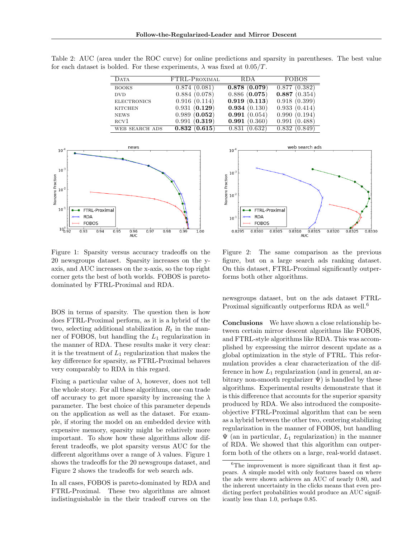Table 2: AUC (area under the ROC curve) for online predictions and sparsity in parentheses. The best value for each dataset is bolded. For these experiments,  $\lambda$  was fixed at  $0.05/T$ .

| <b>DATA</b>        | FTRL-PROXIMAL | RDA.         | FOBOS        |
|--------------------|---------------|--------------|--------------|
|                    |               |              |              |
| <b>BOOKS</b>       | 0.874(0.081)  | 0.878(0.079) | 0.877(0.382) |
| <b>DVD</b>         | 0.884(0.078)  | 0.886(0.075) | 0.887(0.354) |
| <b>ELECTRONICS</b> | 0.916(0.114)  | 0.919(0.113) | 0.918(0.399) |
| <b>KITCHEN</b>     | 0.931(0.129)  | 0.934(0.130) | 0.933(0.414) |
| <b>NEWS</b>        | 0.989(0.052)  | 0.991(0.054) | 0.990(0.194) |
| RCV1               | 0.991(0.319)  | 0.991(0.360) | 0.991(0.488) |
| WEB SEARCH ADS     | 0.832(0.615)  | 0.831(0.632) | 0.832(0.849) |



Figure 1: Sparsity versus accuracy tradeoffs on the 20 newsgroups dataset. Sparsity increases on the yaxis, and AUC increases on the x-axis, so the top right corner gets the best of both worlds. FOBOS is paretodominated by FTRL-Proximal and RDA.

BOS in terms of sparsity. The question then is how does FTRL-Proximal perform, as it is a hybrid of the two, selecting additional stabilization  $R_t$  in the manner of FOBOS, but handling the  $L_1$  regularization in the manner of RDA. These results make it very clear: it is the treatment of  $L_1$  regularization that makes the key difference for sparsity, as FTRL-Proximal behaves very comparably to RDA in this regard.

Fixing a particular value of  $\lambda$ , however, does not tell the whole story. For all these algorithms, one can trade off accuracy to get more sparsity by increasing the  $\lambda$ parameter. The best choice of this parameter depends on the application as well as the dataset. For example, if storing the model on an embedded device with expensive memory, sparsity might be relatively more important. To show how these algorithms allow different tradeoffs, we plot sparsity versus AUC for the different algorithms over a range of  $\lambda$  values. Figure 1 shows the tradeoffs for the 20 newsgroups dataset, and Figure 2 shows the tradeoffs for web search ads.

In all cases, FOBOS is pareto-dominated by RDA and FTRL-Proximal. These two algorithms are almost indistinguishable in the their tradeoff curves on the



Figure 2: The same comparison as the previous figure, but on a large search ads ranking dataset. On this dataset, FTRL-Proximal significantly outperforms both other algorithms.

newsgroups dataset, but on the ads dataset FTRL-Proximal significantly outperforms RDA as well.<sup>6</sup>

Conclusions We have shown a close relationship between certain mirror descent algorithms like FOBOS, and FTRL-style algorithms like RDA. This was accomplished by expressing the mirror descent update as a global optimization in the style of FTRL. This reformulation provides a clear characterization of the difference in how  $L_1$  regularization (and in general, an arbitrary non-smooth regularizer  $\Psi$ ) is handled by these algorithms. Experimental results demonstrate that it is this difference that accounts for the superior sparsity produced by RDA. We also introduced the compositeobjective FTRL-Proximal algorithm that can be seen as a hybrid between the other two, centering stabilizing regularization in the manner of FOBOS, but handling  $\Psi$  (an in particular,  $L_1$  regularization) in the manner of RDA. We showed that this algorithm can outperform both of the others on a large, real-world dataset.

<sup>&</sup>lt;sup>6</sup>The improvement is more significant than it first appears. A simple model with only features based on where the ads were shown achieves an AUC of nearly 0.80, and the inherent uncertainty in the clicks means that even predicting perfect probabilities would produce an AUC significantly less than 1.0, perhaps 0.85.